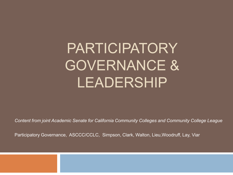# PARTICIPATORY GOVERNANCE & LEADERSHIP

*Content from joint Academic Senate for California Community Colleges and Community College League*

Participatory Governance, ASCCC/CCLC, Simpson, Clark, Walton, Lieu,Woodruff, Lay, Viar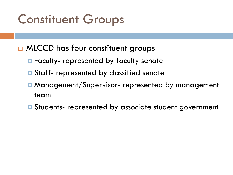## Constituent Groups

- □ MLCCD has four constituent groups
	- **E** Faculty- represented by faculty senate
	- $\blacksquare$  Staff- represented by classified senate
	- **□ Management/Supervisor- represented by management** team
	- **E** Students- represented by associate student government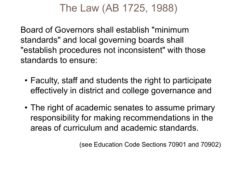### The Law (AB 1725, 1988)

Board of Governors shall establish "minimum standards" and local governing boards shall "establish procedures not inconsistent" with those standards to ensure:

- Faculty, staff and students the right to participate effectively in district and college governance and
- The right of academic senates to assume primary responsibility for making recommendations in the areas of curriculum and academic standards.

(see Education Code Sections 70901 and 70902)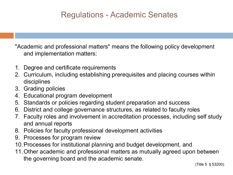#### Regulations - Academic Senates

"Academic and professional matters" means the following policy development and implementation matters:

- 1. Degree and certificate requirements
- 2. Curriculum, including establishing prerequisites and placing courses within disciplines
- 3. Grading policies
- 4. Educational program development
- 5. Standards or policies regarding student preparation and success
- 6. District and college governance structures, as related to faculty roles
- 7. Faculty roles and involvement in accreditation processes, including self study and annual reports
- 8. Policies for faculty professional development activities
- 9. Processes for program review
- 10.Processes for institutional planning and budget development, and
- 11.Other academic and professional matters as mutually agreed upon between the governing board and the academic senate.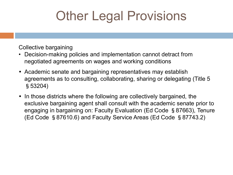## Other Legal Provisions

Collective bargaining

- Decision-making policies and implementation cannot detract from negotiated agreements on wages and working conditions
- Academic senate and bargaining representatives may establish agreements as to consulting, collaborating, sharing or delegating (Title 5 §53204)
- In those districts where the following are collectively bargained, the exclusive bargaining agent shall consult with the academic senate prior to engaging in bargaining on: Faculty Evaluation (Ed Code §87663), Tenure (Ed Code §87610.6) and Faculty Service Areas (Ed Code §87743.2)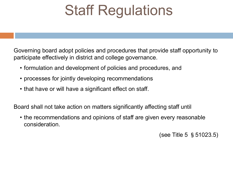# Staff Regulations

Governing board adopt policies and procedures that provide staff opportunity to participate effectively in district and college governance.

- formulation and development of policies and procedures, and
- processes for jointly developing recommendations
- that have or will have a significant effect on staff.

Board shall not take action on matters significantly affecting staff until

• the recommendations and opinions of staff are given every reasonable consideration.

(see Title 5 §51023.5)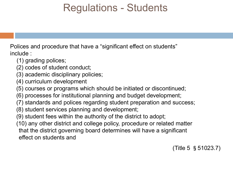### Regulations - Students

Polices and procedure that have a "significant effect on students" include :

- (1) grading polices;
- (2) codes of student conduct;
- (3) academic disciplinary policies;
- (4) curriculum development
- (5) courses or programs which should be initiated or discontinued;
- (6) processes for institutional planning and budget development;
- (7) standards and polices regarding student preparation and success;
- (8) student services planning and development;
- (9) student fees within the authority of the district to adopt;
- (10) any other district and college policy, procedure or related matter that the district governing board determines will have a significant effect on students and

(Title 5 §51023.7)